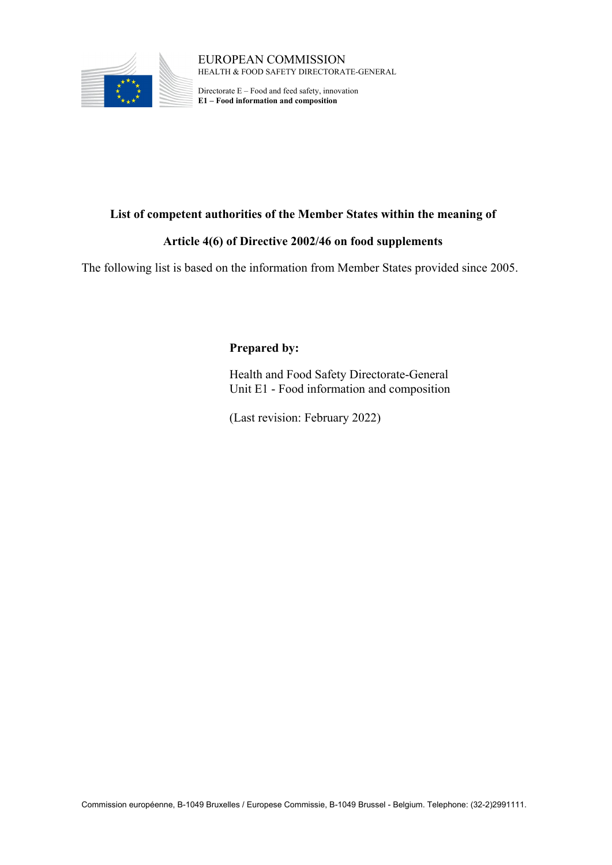

EUROPEAN COMMISSION HEALTH & FOOD SAFETY DIRECTORATE-GENERAL

Directorate E – Food and feed safety, innovation **E1 – Food information and composition**

## **List of competent authorities of the Member States within the meaning of**

## **Article 4(6) of Directive 2002/46 on food supplements**

The following list is based on the information from Member States provided since 2005.

## **Prepared by:**

Health and Food Safety Directorate-General Unit E1 - Food information and composition

(Last revision: February 2022)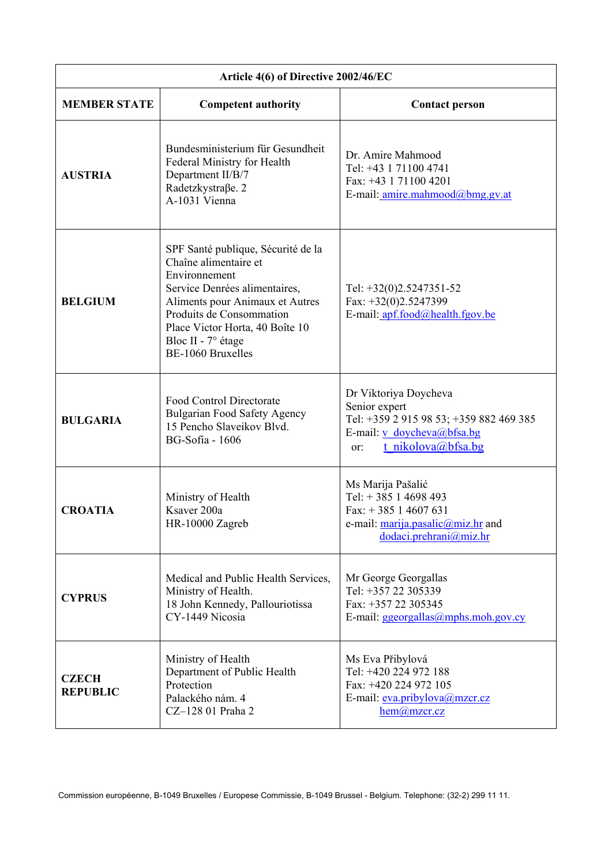| Article 4(6) of Directive 2002/46/EC |                                                                                                                                                                                                                                                                   |                                                                                                                                              |
|--------------------------------------|-------------------------------------------------------------------------------------------------------------------------------------------------------------------------------------------------------------------------------------------------------------------|----------------------------------------------------------------------------------------------------------------------------------------------|
| <b>MEMBER STATE</b>                  | <b>Competent authority</b>                                                                                                                                                                                                                                        | <b>Contact person</b>                                                                                                                        |
| <b>AUSTRIA</b>                       | Bundesministerium für Gesundheit<br>Federal Ministry for Health<br>Department II/B/7<br>Radetzkystraße. 2<br>A-1031 Vienna                                                                                                                                        | Dr. Amire Mahmood<br>Tel: +43 1 71100 4741<br>Fax: +43 1 71100 4201<br>E-mail: amire.mahmood@bmg.gv.at                                       |
| <b>BELGIUM</b>                       | SPF Santé publique, Sécurité de la<br>Chaîne alimentaire et<br>Environnement<br>Service Denrées alimentaires,<br>Aliments pour Animaux et Autres<br>Produits de Consommation<br>Place Victor Horta, 40 Boîte 10<br>Bloc II - $7^\circ$ étage<br>BE-1060 Bruxelles | Tel: $+32(0)2.5247351-52$<br>Fax: $+32(0)2.5247399$<br>E-mail: apf.food@health.fgov.be                                                       |
| <b>BULGARIA</b>                      | Food Control Directorate<br><b>Bulgarian Food Safety Agency</b><br>15 Pencho Slaveikov Blvd.<br><b>BG-Sofia - 1606</b>                                                                                                                                            | Dr Viktoriya Doycheva<br>Senior expert<br>Tel: +359 2 915 98 53; +359 882 469 385<br>E-mail: v doycheva@bfsa.bg<br>t nikolova@bfsa.bg<br>or: |
| <b>CROATIA</b>                       | Ministry of Health<br>Ksaver 200a<br>HR-10000 Zagreb                                                                                                                                                                                                              | Ms Marija Pašalić<br>Tel: $+385$ 1 4698 493<br>Fax: $+385$ 1 4607 631<br>e-mail: marija.pasalic@miz.hr and<br>dodaci.prehrani@miz.hr         |
| <b>CYPRUS</b>                        | Medical and Public Health Services,<br>Ministry of Health.<br>18 John Kennedy, Pallouriotissa<br>CY-1449 Nicosia                                                                                                                                                  | Mr George Georgallas<br>Tel: +357 22 305339<br>Fax: +357 22 305345<br>E-mail: ggeorgallas@mphs.moh.gov.cy                                    |
| <b>CZECH</b><br><b>REPUBLIC</b>      | Ministry of Health<br>Department of Public Health<br>Protection<br>Palackého nám. 4<br>CZ-128 01 Praha 2                                                                                                                                                          | Ms Eva Přibylová<br>Tel: +420 224 972 188<br>Fax: +420 224 972 105<br>E-mail: eva.pribylova@mzcr.cz<br>$hem(\omega)$ mzcr.cz                 |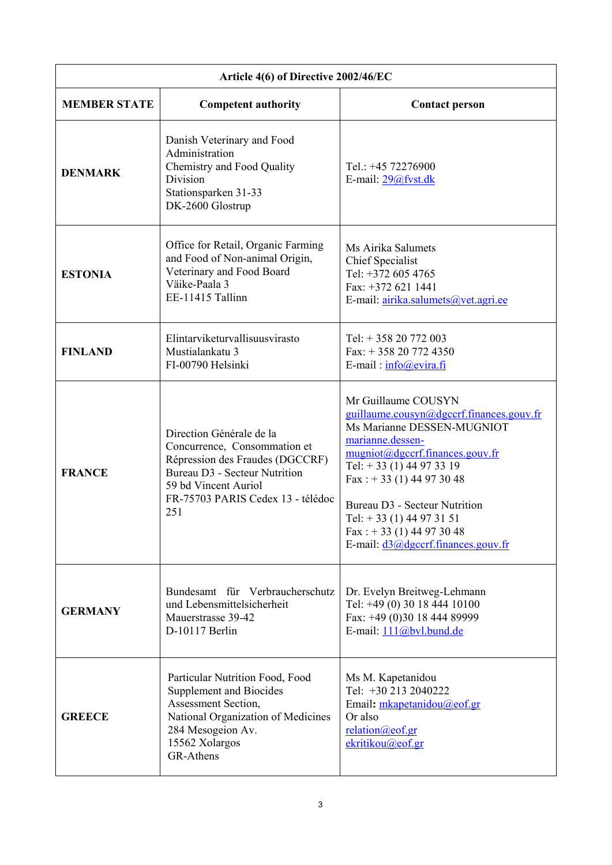| Article 4(6) of Directive 2002/46/EC |                                                                                                                                                                                                         |                                                                                                                                                                                                                                                                                                                                                    |  |
|--------------------------------------|---------------------------------------------------------------------------------------------------------------------------------------------------------------------------------------------------------|----------------------------------------------------------------------------------------------------------------------------------------------------------------------------------------------------------------------------------------------------------------------------------------------------------------------------------------------------|--|
| <b>MEMBER STATE</b>                  | <b>Competent authority</b>                                                                                                                                                                              | <b>Contact person</b>                                                                                                                                                                                                                                                                                                                              |  |
| <b>DENMARK</b>                       | Danish Veterinary and Food<br>Administration<br>Chemistry and Food Quality<br>Division<br>Stationsparken 31-33<br>DK-2600 Glostrup                                                                      | Tel.: +45 72276900<br>E-mail: 29@fvst.dk                                                                                                                                                                                                                                                                                                           |  |
| <b>ESTONIA</b>                       | Office for Retail, Organic Farming<br>and Food of Non-animal Origin,<br>Veterinary and Food Board<br>Väike-Paala 3<br>EE-11415 Tallinn                                                                  | Ms Airika Salumets<br>Chief Specialist<br>Tel: +372 605 4765<br>Fax: +372 621 1441<br>E-mail: airika.salumets@vet.agri.ee                                                                                                                                                                                                                          |  |
| <b>FINLAND</b>                       | Elintarviketurvallisuusvirasto<br>Mustialankatu 3<br>FI-00790 Helsinki                                                                                                                                  | Tel: $+35820772003$<br>Fax: $+358207724350$<br>E-mail: $info@evira.fi$                                                                                                                                                                                                                                                                             |  |
| <b>FRANCE</b>                        | Direction Générale de la<br>Concurrence, Consommation et<br>Répression des Fraudes (DGCCRF)<br><b>Bureau D3 - Secteur Nutrition</b><br>59 bd Vincent Auriol<br>FR-75703 PARIS Cedex 13 - télédoc<br>251 | Mr Guillaume COUSYN<br>guillaume.cousyn@dgccrf.finances.gouv.fr<br>Ms Marianne DESSEN-MUGNIOT<br>marianne.dessen-<br>mugniot@dgccrf.finances.gouv.fr<br>Tel: $+33(1)$ 44 97 33 19<br>Fax: $+33(1)$ 44 97 30 48<br>Bureau D3 - Secteur Nutrition<br>Tel: $+33(1)$ 44 97 31 51<br>Fax: $+33(1)$ 44 97 30 48<br>E-mail: $d3@$ dgccrf.finances.gouv.fr |  |
| <b>GERMANY</b>                       | Bundesamt für Verbraucherschutz<br>und Lebensmittelsicherheit<br>Mauerstrasse 39-42<br>D-10117 Berlin                                                                                                   | Dr. Evelyn Breitweg-Lehmann<br>Tel: +49 (0) 30 18 444 10100<br>Fax: +49 (0)30 18 444 89999<br>E-mail: 111@bvl.bund.de                                                                                                                                                                                                                              |  |
| <b>GREECE</b>                        | Particular Nutrition Food, Food<br><b>Supplement and Biocides</b><br>Assessment Section,<br>National Organization of Medicines<br>284 Mesogeion Av.<br>15562 Xolargos<br>GR-Athens                      | Ms M. Kapetanidou<br>Tel: +30 213 2040222<br>Email: mkapetanidou@eof.gr<br>Or also<br>relation@cof.gr<br>ekritikou@eof.gr                                                                                                                                                                                                                          |  |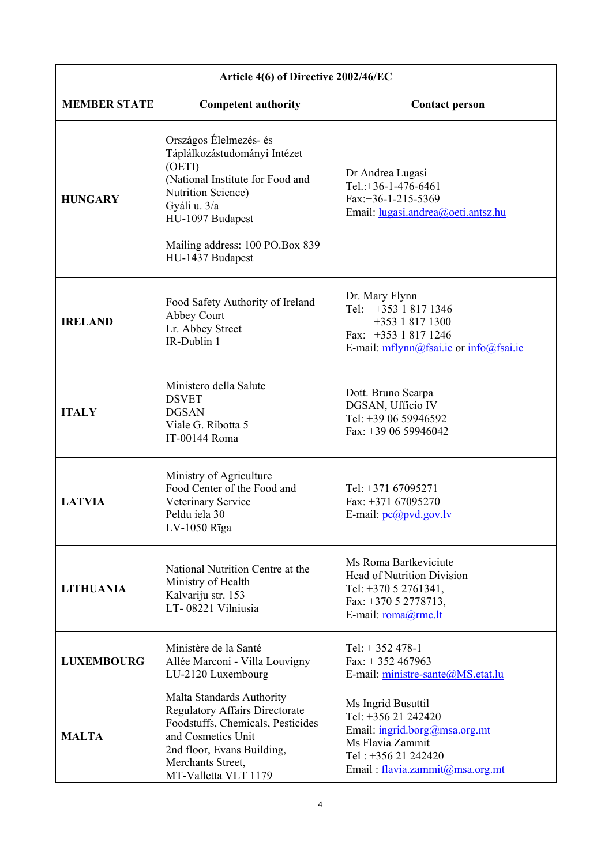| Article 4(6) of Directive 2002/46/EC |                                                                                                                                                                                                                       |                                                                                                                                                          |
|--------------------------------------|-----------------------------------------------------------------------------------------------------------------------------------------------------------------------------------------------------------------------|----------------------------------------------------------------------------------------------------------------------------------------------------------|
| <b>MEMBER STATE</b>                  | <b>Competent authority</b>                                                                                                                                                                                            | <b>Contact person</b>                                                                                                                                    |
| <b>HUNGARY</b>                       | Országos Élelmezés- és<br>Táplálkozástudományi Intézet<br>(OETI)<br>(National Institute for Food and<br>Nutrition Science)<br>Gyáli u. 3/a<br>HU-1097 Budapest<br>Mailing address: 100 PO.Box 839<br>HU-1437 Budapest | Dr Andrea Lugasi<br>Tel.:+36-1-476-6461<br>Fax:+36-1-215-5369<br>Email: lugasi.andrea@oeti.antsz.hu                                                      |
| <b>IRELAND</b>                       | Food Safety Authority of Ireland<br>Abbey Court<br>Lr. Abbey Street<br>IR-Dublin 1                                                                                                                                    | Dr. Mary Flynn<br>Tel: $+353$ 1 817 1346<br>+353 1 817 1300<br>Fax: +353 1 817 1246<br>E-mail: mflynn@fsai.ie or info@fsai.ie                            |
| <b>ITALY</b>                         | Ministero della Salute<br><b>DSVET</b><br><b>DGSAN</b><br>Viale G. Ribotta 5<br>IT-00144 Roma                                                                                                                         | Dott. Bruno Scarpa<br>DGSAN, Ufficio IV<br>Tel: +39 06 59946592<br>Fax: +39 06 59946042                                                                  |
| <b>LATVIA</b>                        | Ministry of Agriculture<br>Food Center of the Food and<br>Veterinary Service<br>Peldu iela 30<br>$LV-1050$ $Rīga$                                                                                                     | Tel: +371 67095271<br>Fax: $+37167095270$<br>E-mail: $pc(\omega)$ pvd.gov.lv                                                                             |
| <b>LITHUANIA</b>                     | National Nutrition Centre at the<br>Ministry of Health<br>Kalvariju str. 153<br>LT-08221 Vilniusia                                                                                                                    | Ms Roma Bartkeviciute<br><b>Head of Nutrition Division</b><br>Tel: +370 5 2761341,<br>Fax: +370 5 2778713,<br>E-mail: $roma@rmc.$ It                     |
| <b>LUXEMBOURG</b>                    | Ministère de la Santé<br>Allée Marconi - Villa Louvigny<br>LU-2120 Luxembourg                                                                                                                                         | Tel: $+352478-1$<br>Fax: $+352467963$<br>E-mail: ministre-sante@MS.etat.lu                                                                               |
| <b>MALTA</b>                         | Malta Standards Authority<br><b>Regulatory Affairs Directorate</b><br>Foodstuffs, Chemicals, Pesticides<br>and Cosmetics Unit<br>2nd floor, Evans Building,<br>Merchants Street,<br>MT-Valletta VLT 1179              | Ms Ingrid Busuttil<br>Tel: +356 21 242420<br>Email: ingrid.borg@msa.org.mt<br>Ms Flavia Zammit<br>Tel: +356 21 242420<br>Email: flavia.zammit@msa.org.mt |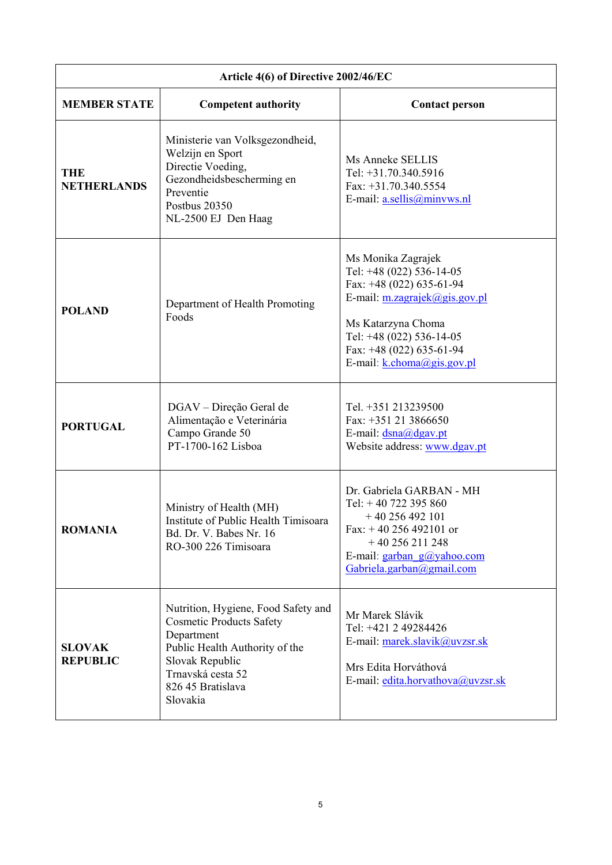| Article 4(6) of Directive 2002/46/EC |                                                                                                                                                                                                 |                                                                                                                                                                                                                                   |
|--------------------------------------|-------------------------------------------------------------------------------------------------------------------------------------------------------------------------------------------------|-----------------------------------------------------------------------------------------------------------------------------------------------------------------------------------------------------------------------------------|
| <b>MEMBER STATE</b>                  | <b>Competent authority</b>                                                                                                                                                                      | <b>Contact person</b>                                                                                                                                                                                                             |
| <b>THE</b><br><b>NETHERLANDS</b>     | Ministerie van Volksgezondheid,<br>Welzijn en Sport<br>Directie Voeding,<br>Gezondheidsbescherming en<br>Preventie<br>Postbus 20350<br>NL-2500 EJ Den Haag                                      | Ms Anneke SELLIS<br>Tel: +31.70.340.5916<br>Fax: $+31.70.340.5554$<br>E-mail: $a.sellis@minvws.nl$                                                                                                                                |
| <b>POLAND</b>                        | Department of Health Promoting<br>Foods                                                                                                                                                         | Ms Monika Zagrajek<br>Tel: $+48$ (022) 536-14-05<br>Fax: $+48$ (022) 635-61-94<br>E-mail: $m.zagrajek@gis.gov.pl$<br>Ms Katarzyna Choma<br>Tel: $+48$ (022) 536-14-05<br>Fax: $+48$ (022) 635-61-94<br>E-mail: k.choma@gis.gov.pl |
| <b>PORTUGAL</b>                      | DGAV – Direção Geral de<br>Alimentação e Veterinária<br>Campo Grande 50<br>PT-1700-162 Lisboa                                                                                                   | Tel. +351 213239500<br>Fax: +351 21 3866650<br>E-mail: dsna@dgav.pt<br>Website address: www.dgav.pt                                                                                                                               |
| <b>ROMANIA</b>                       | Ministry of Health (MH)<br>Institute of Public Health Timisoara<br>Bd. Dr. V. Babes Nr. 16<br>RO-300 226 Timisoara                                                                              | Dr. Gabriela GARBAN - MH<br>Tel: $+40$ 722 395 860<br>$+40$ 256 492 101<br>Fax: $+40$ 256 492101 or<br>$+40$ 256 211 248<br>E-mail: $garban$ $g(a)yahoo.com$<br>Gabriela.garban@gmail.com                                         |
| <b>SLOVAK</b><br><b>REPUBLIC</b>     | Nutrition, Hygiene, Food Safety and<br><b>Cosmetic Products Safety</b><br>Department<br>Public Health Authority of the<br>Slovak Republic<br>Trnavská cesta 52<br>826 45 Bratislava<br>Slovakia | Mr Marek Slávik<br>Tel: +421 2 49284426<br>E-mail: marek.slavik@uvzsr.sk<br>Mrs Edita Horváthová<br>E-mail: edita.horvathova@uvzsr.sk                                                                                             |